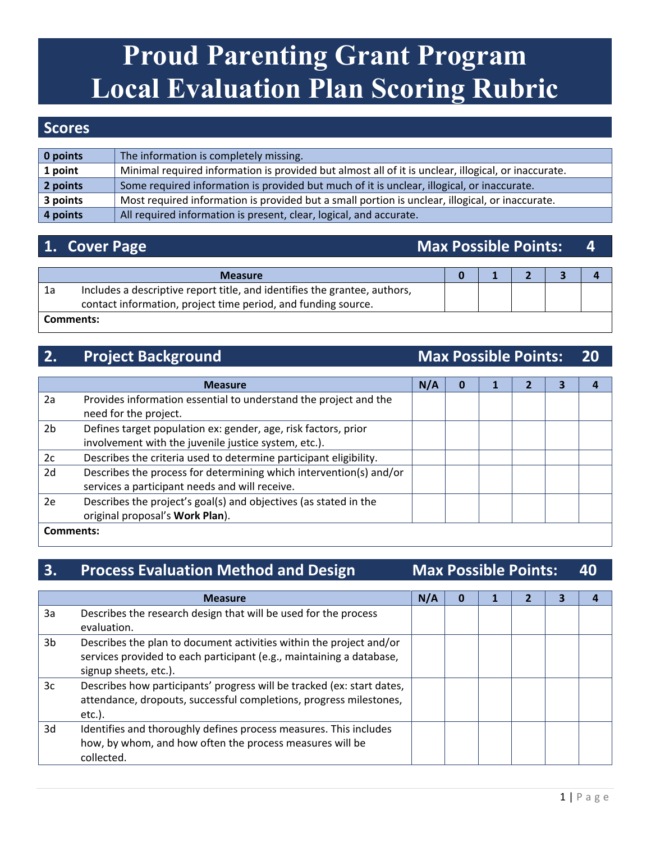# **Proud Parenting Grant Program Local Evaluation Plan Scoring Rubric**

### **Scores**

| $\vert$ 0 points | The information is completely missing.                                                              |
|------------------|-----------------------------------------------------------------------------------------------------|
| 1 point          | Minimal required information is provided but almost all of it is unclear, illogical, or inaccurate. |
| 2 points         | Some required information is provided but much of it is unclear, illogical, or inaccurate.          |
| 3 points         | Most required information is provided but a small portion is unclear, illogical, or inaccurate.     |
| $\vert$ 4 points | All required information is present, clear, logical, and accurate.                                  |

### **1. Cover Page Max Possible Points: 4**

|    | <b>Measure</b>                                                                                                                             |  |  |  |
|----|--------------------------------------------------------------------------------------------------------------------------------------------|--|--|--|
| 1a | Includes a descriptive report title, and identifies the grantee, authors,<br>contact information, project time period, and funding source. |  |  |  |
|    | Comments:                                                                                                                                  |  |  |  |

### **2. Project Background Max Possible Points: 20**

|    | <b>Measure</b>                                                     | N/A |  |  |  |  |
|----|--------------------------------------------------------------------|-----|--|--|--|--|
| 2a | Provides information essential to understand the project and the   |     |  |  |  |  |
|    | need for the project.                                              |     |  |  |  |  |
| 2b | Defines target population ex: gender, age, risk factors, prior     |     |  |  |  |  |
|    | involvement with the juvenile justice system, etc.).               |     |  |  |  |  |
| 2c | Describes the criteria used to determine participant eligibility.  |     |  |  |  |  |
| 2d | Describes the process for determining which intervention(s) and/or |     |  |  |  |  |
|    | services a participant needs and will receive.                     |     |  |  |  |  |
| 2e | Describes the project's goal(s) and objectives (as stated in the   |     |  |  |  |  |
|    | original proposal's Work Plan).                                    |     |  |  |  |  |
|    | Comments:                                                          |     |  |  |  |  |

### **3. Process Evaluation Method and Design Max Possible Points: 40**

|                | <b>Measure</b>                                                                                                                                                       | N/A |  |  |  |
|----------------|----------------------------------------------------------------------------------------------------------------------------------------------------------------------|-----|--|--|--|
| 3a             | Describes the research design that will be used for the process<br>evaluation.                                                                                       |     |  |  |  |
| 3 <sub>b</sub> | Describes the plan to document activities within the project and/or<br>services provided to each participant (e.g., maintaining a database,<br>signup sheets, etc.). |     |  |  |  |
| 3c             | Describes how participants' progress will be tracked (ex: start dates,<br>attendance, dropouts, successful completions, progress milestones,<br>$etc.$ ).            |     |  |  |  |
| 3d             | Identifies and thoroughly defines process measures. This includes<br>how, by whom, and how often the process measures will be<br>collected.                          |     |  |  |  |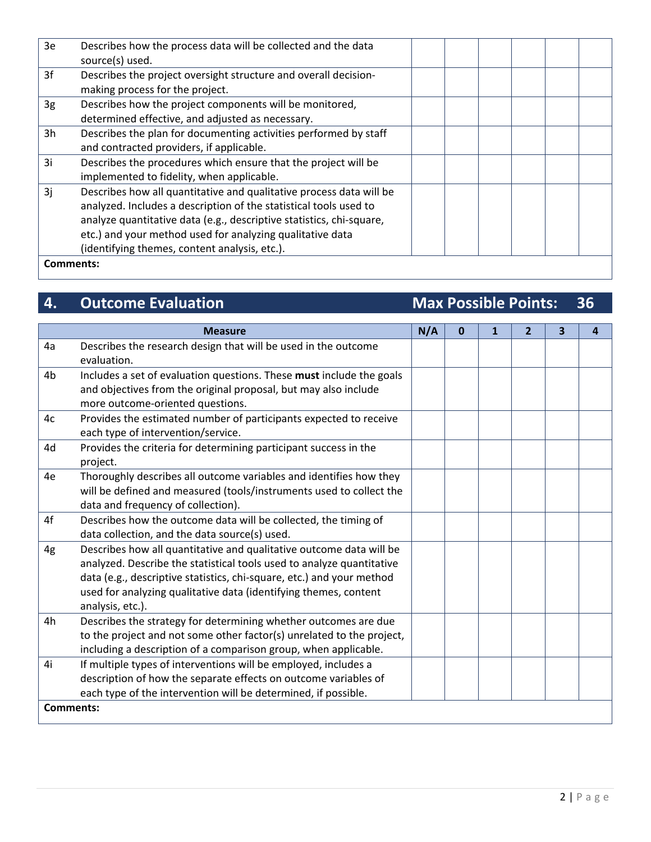| 3e        | Describes how the process data will be collected and the data        |  |  |  |
|-----------|----------------------------------------------------------------------|--|--|--|
|           | source(s) used.                                                      |  |  |  |
| 3f        | Describes the project oversight structure and overall decision-      |  |  |  |
|           | making process for the project.                                      |  |  |  |
| 3g        | Describes how the project components will be monitored,              |  |  |  |
|           | determined effective, and adjusted as necessary.                     |  |  |  |
| 3h        | Describes the plan for documenting activities performed by staff     |  |  |  |
|           | and contracted providers, if applicable.                             |  |  |  |
| 3i        | Describes the procedures which ensure that the project will be       |  |  |  |
|           | implemented to fidelity, when applicable.                            |  |  |  |
| 3i        | Describes how all quantitative and qualitative process data will be  |  |  |  |
|           | analyzed. Includes a description of the statistical tools used to    |  |  |  |
|           | analyze quantitative data (e.g., descriptive statistics, chi-square, |  |  |  |
|           | etc.) and your method used for analyzing qualitative data            |  |  |  |
|           | (identifying themes, content analysis, etc.).                        |  |  |  |
| Comments: |                                                                      |  |  |  |

# **4.** Outcome Evaluation **Max Possible Points: 36**

|                  | <b>Measure</b>                                                        |  |  | 1 | $\overline{2}$ | 3 | 4 |
|------------------|-----------------------------------------------------------------------|--|--|---|----------------|---|---|
| 4a               | Describes the research design that will be used in the outcome        |  |  |   |                |   |   |
|                  | evaluation.                                                           |  |  |   |                |   |   |
| 4b               | Includes a set of evaluation questions. These must include the goals  |  |  |   |                |   |   |
|                  | and objectives from the original proposal, but may also include       |  |  |   |                |   |   |
|                  | more outcome-oriented questions.                                      |  |  |   |                |   |   |
| 4c               | Provides the estimated number of participants expected to receive     |  |  |   |                |   |   |
|                  | each type of intervention/service.                                    |  |  |   |                |   |   |
| 4d               | Provides the criteria for determining participant success in the      |  |  |   |                |   |   |
|                  | project.                                                              |  |  |   |                |   |   |
| 4e               | Thoroughly describes all outcome variables and identifies how they    |  |  |   |                |   |   |
|                  | will be defined and measured (tools/instruments used to collect the   |  |  |   |                |   |   |
|                  | data and frequency of collection).                                    |  |  |   |                |   |   |
| 4f               | Describes how the outcome data will be collected, the timing of       |  |  |   |                |   |   |
|                  | data collection, and the data source(s) used.                         |  |  |   |                |   |   |
| 4g               | Describes how all quantitative and qualitative outcome data will be   |  |  |   |                |   |   |
|                  | analyzed. Describe the statistical tools used to analyze quantitative |  |  |   |                |   |   |
|                  | data (e.g., descriptive statistics, chi-square, etc.) and your method |  |  |   |                |   |   |
|                  | used for analyzing qualitative data (identifying themes, content      |  |  |   |                |   |   |
|                  | analysis, etc.).                                                      |  |  |   |                |   |   |
| 4h               | Describes the strategy for determining whether outcomes are due       |  |  |   |                |   |   |
|                  | to the project and not some other factor(s) unrelated to the project, |  |  |   |                |   |   |
|                  | including a description of a comparison group, when applicable.       |  |  |   |                |   |   |
| 4i               | If multiple types of interventions will be employed, includes a       |  |  |   |                |   |   |
|                  | description of how the separate effects on outcome variables of       |  |  |   |                |   |   |
|                  | each type of the intervention will be determined, if possible.        |  |  |   |                |   |   |
| <b>Comments:</b> |                                                                       |  |  |   |                |   |   |
|                  |                                                                       |  |  |   |                |   |   |